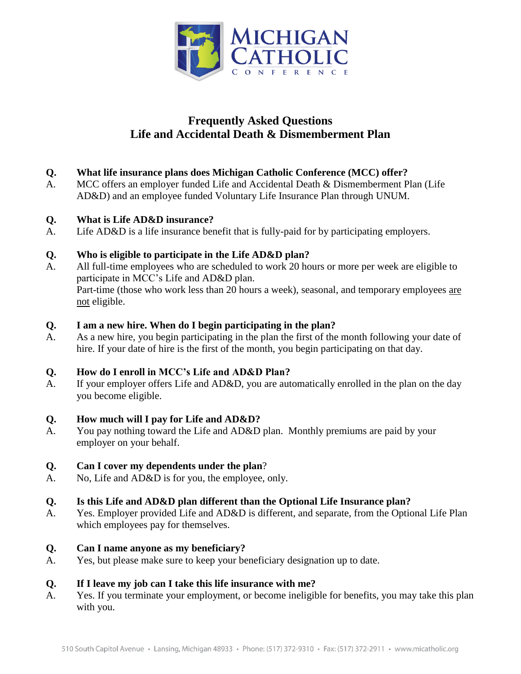

## **Frequently Asked Questions Life and Accidental Death & Dismemberment Plan**

- **Q. What life insurance plans does Michigan Catholic Conference (MCC) offer?**
- A. MCC offers an employer funded Life and Accidental Death & Dismemberment Plan (Life AD&D) and an employee funded Voluntary Life Insurance Plan through UNUM.
- **Q. What is Life AD&D insurance?**
- A. Life AD&D is a life insurance benefit that is fully-paid for by participating employers.

#### **Q. Who is eligible to participate in the Life AD&D plan?**

A. All full-time employees who are scheduled to work 20 hours or more per week are eligible to participate in MCC's Life and AD&D plan. Part-time (those who work less than 20 hours a week), seasonal, and temporary employees are not eligible.

#### **Q. I am a new hire. When do I begin participating in the plan?**

A. As a new hire, you begin participating in the plan the first of the month following your date of hire. If your date of hire is the first of the month, you begin participating on that day.

### **Q. How do I enroll in MCC's Life and AD&D Plan?**

A. If your employer offers Life and AD&D, you are automatically enrolled in the plan on the day you become eligible.

### **Q. How much will I pay for Life and AD&D?**

A. You pay nothing toward the Life and AD&D plan. Monthly premiums are paid by your employer on your behalf.

### **Q. Can I cover my dependents under the plan**?

A. No, Life and AD&D is for you, the employee, only.

### **Q. Is this Life and AD&D plan different than the Optional Life Insurance plan?**

A. Yes. Employer provided Life and AD&D is different, and separate, from the Optional Life Plan which employees pay for themselves.

#### **Q. Can I name anyone as my beneficiary?**

A. Yes, but please make sure to keep your beneficiary designation up to date.

### **Q. If I leave my job can I take this life insurance with me?**

A. Yes. If you terminate your employment, or become ineligible for benefits, you may take this plan with you.